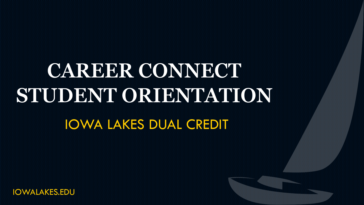# IOWA LAKES DUAL CREDIT CAREER CONNECT **STUDENT ORIENTATION**

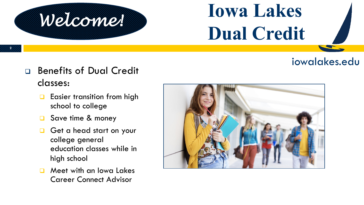### iowalakes.edu

<sup>q</sup> Benefits of Dual Credit classes:

*Welcome!*

- $\Box$  Easier transition from high school to college
- Save time & money
- Get a head start on your college general education classes while in high school
- Meet with an Iowa Lakes Career Connect Advisor

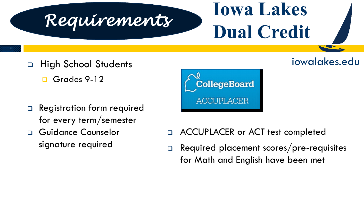

iowalakes.edu

- <sup>q</sup> High School Students
	- Grades 9-12

**3**

- <sup>q</sup> Registration form required for every term/semester
- <sup>q</sup> Guidance Counselor signature required



- <sup>q</sup> ACCUPLACER or ACT test completed
- <sup>q</sup> Required placement scores/pre-requisites for Math and English have been met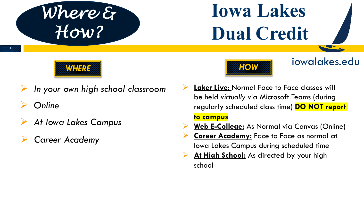

**4**



- Ø *In your own high school classroom*
- Ø *Online*
- Ø *At Iowa Lakes Campus*
- Ø *Career Academy*



#### iowalakes.edu

- **Laker Live: Normal Face to Face classes will** be held *virtually* via Microsoft Teams (during regularly scheduled class time) **DO NOT report to campus**
- Ø **Web E-College:** As Normal via Canvas (Online)
- **Career Academy:** Face to Face as normal at Iowa Lakes Campus during scheduled time
- At High School: As directed by your high school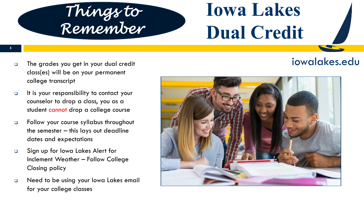

<sup>q</sup> The grades you get in your dual credit class(es) will be on your permanent college transcript

**5**

- **q It is your responsibility to contact your** counselor to drop a class, you as a student cannot drop a college course
- <sup>q</sup> Follow your course syllabus throughout the semester – this lays out deadline dates and expectations
- <sup>q</sup> Sign up for Iowa Lakes Alert for Inclement Weather – Follow College Closing policy
- **Q** Need to be using your lowa Lakes email for your college classes

#### iowalakes.edu

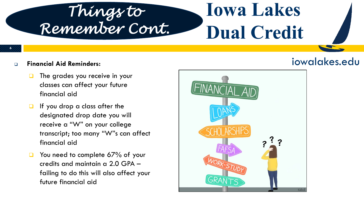### *Things to Remember Cont.*

## **Iowa Lakes Dual Credit**

#### <sup>q</sup> **Financial Aid Reminders:**

**6**

- The grades you receive in your classes can affect your future financial aid
- If you drop a class after the designated drop date you will receive a "W" on your college transcript; too many "W"s can affect financial aid
- $\Box$  You need to complete 67% of your credits and maintain a 2.0 GPA – failing to do this will also affect your future financial aid

### iowalakes.edu

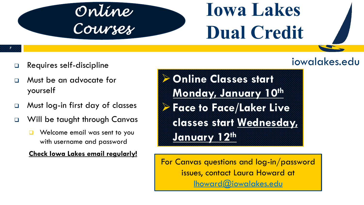### *Online Courses*

# **Iowa Lakes Dual Credit**

#### **7**

- **Q** Requires self-discipline
- <sup>q</sup> Must be an advocate for yourself
- □ Must log-in first day of classes
- □ Will be taught through Canvas
	- $\Box$  Welcome email was sent to you with username and password

#### **Check Iowa Lakes email regularly!**

iow

Ø**Online Classes start Monday, January 10th** Ø**Face to Face/Laker Live classes start Wednesday, January 12th**

For Canvas questions and log-in/password issues, contact Laura Howard at lhoward@iowalakes.edu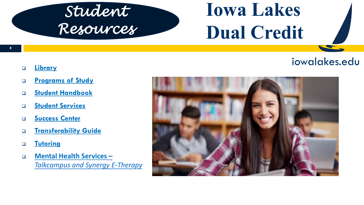### *Student Resources*

# **Iowa Lakes Dual Credit**

- **8**
- <sup>q</sup> **Library**
- <sup>q</sup> **Programs of Study**
- <sup>q</sup> **Student Handbook**
- <sup>q</sup> **Student Services**
- <sup>q</sup> **Success Center**
- <sup>q</sup> **Transferability Guide**
- <sup>q</sup> **Tutoring**
- <sup>q</sup> **Mental Health Services –** *Talkcampus and Synergy E-Therapy*

#### iow

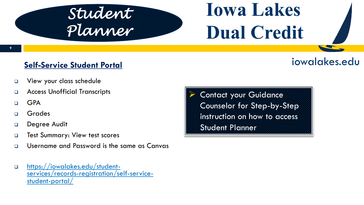### *Student Planner*

# **Iowa Lakes Dual Credit**

#### **9**

#### **Self-Service Student Portal**

- **Q** View your class schedule
- <sup>q</sup> Access Unofficial Transcripts
- $\Box$  GPA
- <sup>q</sup> Grades
- Degree Audit
- **D** Test Summary: View test scores
- <sup>q</sup> Username and Password is the same as Canvas
- <sup>q</sup> https://iowalakes.edu/student- services/records-registration/self-service- student-portal/

Contact your Guidance Counselor for Step-by-Step instruction on how to access Student Planner

#### iow